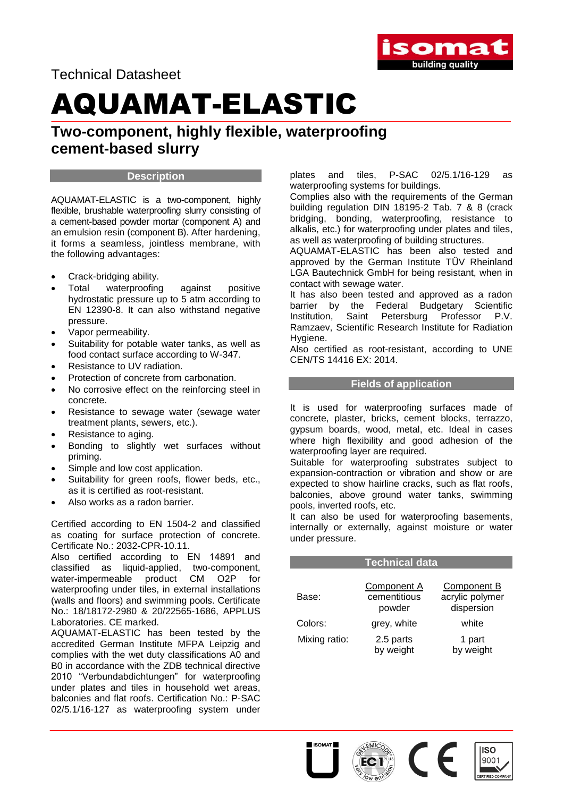

Technical Datasheet

## AQUAMAT-ELASTIC

**Two-component, highly flexible, waterproofing cement-based slurry** 

#### **Description**

AQUAMAT-ELASTIC is a two-component, highly flexible, brushable waterproofing slurry consisting of a cement-based powder mortar (component A) and an emulsion resin (component B). After hardening, it forms a seamless, jointless membrane, with the following advantages:

- Crack-bridging ability.
- Total waterproofing against positive hydrostatic pressure up to 5 atm according to EN 12390-8. It can also withstand negative pressure.
- Vapor permeability.
- Suitability for potable water tanks, as well as food contact surface according to W-347.
- Resistance to UV radiation.
- Protection of concrete from carbonation.
- No corrosive effect on the reinforcing steel in concrete.
- Resistance to sewage water (sewage water treatment plants, sewers, etc.).
- Resistance to aging.
- Bonding to slightly wet surfaces without priming.
- Simple and low cost application.
- Suitability for green roofs, flower beds, etc., as it is certified as root-resistant.
- Also works as a radon barrier.

Certified according to EN 1504-2 and classified as coating for surface protection of concrete. Certificate No.: 2032-CPR-10.11.

Also certified according to EN 14891 and classified as liquid-applied, two-component, water-impermeable product CM O2P for waterproofing under tiles, in external installations (walls and floors) and swimming pools. Certificate No.: 18/18172-2980 & 20/22565-1686, APPLUS Laboratories. CE marked.

AQUAMAT-ELASTIC has been tested by the accredited German Institute MFPA Leipzig and complies with the wet duty classifications A0 and B0 in accordance with the ZDB technical directive 2010 "Verbundabdichtungen" for waterproofing under plates and tiles in household wet areas, balconies and flat roofs. Certification No.: P-SAC 02/5.1/16-127 as waterproofing system under plates and tiles, P-SAC 02/5.1/16-129 as waterproofing systems for buildings.

Complies also with the requirements of the German building regulation DIN 18195-2 Tab. 7 & 8 (crack bridging, bonding, waterproofing, resistance to alkalis, etc.) for waterproofing under plates and tiles, as well as waterproofing of building structures.

AQUAMAT-ELASTIC has been also tested and approved by the German Institute TÜV Rheinland LGA Bautechnick GmbH for being resistant, when in contact with sewage water.

It has also been tested and approved as a radon barrier by the Federal Budgetary Scientific Institution, Saint Petersburg Professor P.V. Ramzaev, Scientific Research Institute for Radiation Hygiene.

Also certified as root-resistant, according to UNE CEN/TS 14416 EX: 2014.

#### **Fields of application**

It is used for waterproofing surfaces made of concrete, plaster, bricks, cement blocks, terrazzo, gypsum boards, wood, metal, etc. Ideal in cases where high flexibility and good adhesion of the waterproofing layer are required.

Suitable for waterproofing substrates subject to expansion-contraction or vibration and show or are expected to show hairline cracks, such as flat roofs, balconies, above ground water tanks, swimming pools, inverted roofs, etc.

It can also be used for waterproofing basements, internally or externally, against moisture or water under pressure.

|               | <b>Technical data</b>                 |                                              |  |
|---------------|---------------------------------------|----------------------------------------------|--|
| Base:         | Component A<br>cementitious<br>powder | Component B<br>acrylic polymer<br>dispersion |  |
| Colors:       | grey, white                           | white                                        |  |
| Mixing ratio: | 2.5 parts<br>by weight                | 1 part<br>by weight                          |  |

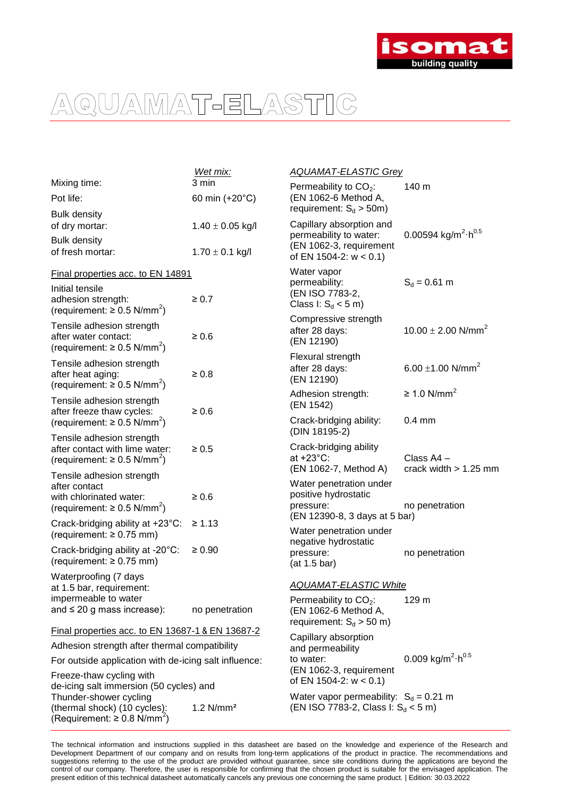

|                                                         | Wet mix:                | <b>AQUAMAT-ELASTIC Grey</b>                                                       |                                                    |  |
|---------------------------------------------------------|-------------------------|-----------------------------------------------------------------------------------|----------------------------------------------------|--|
| Mixing time:                                            | 3 min                   | Permeability to $CO2$ :                                                           | 140 m                                              |  |
| Pot life:                                               | 60 min (+20°C)          | (EN 1062-6 Method A,                                                              |                                                    |  |
| <b>Bulk density</b>                                     |                         | requirement: $S_d > 50m$ )                                                        |                                                    |  |
| of dry mortar:                                          | $1.40 \pm 0.05$ kg/l    | Capillary absorption and                                                          | 0.00594 kg/m <sup>2</sup> $\cdot$ h <sup>0.5</sup> |  |
| <b>Bulk density</b>                                     |                         | permeability to water:<br>(EN 1062-3, requirement                                 |                                                    |  |
| of fresh mortar:                                        | $1.70 \pm 0.1$ kg/l     | of EN 1504-2: $w < 0.1$ )                                                         |                                                    |  |
| Final properties acc. to EN 14891                       |                         | Water vapor                                                                       |                                                    |  |
| Initial tensile                                         |                         | permeability:                                                                     | $S_d = 0.61$ m                                     |  |
| adhesion strength:                                      | $\geq 0.7$              | (EN ISO 7783-2,<br>Class I: $S_d < 5$ m)                                          |                                                    |  |
| (requirement: ≥ 0.5 N/mm <sup>2</sup> )                 |                         | Compressive strength                                                              |                                                    |  |
| Tensile adhesion strength                               |                         | after 28 days:                                                                    | $10.00 \pm 2.00$ N/mm <sup>2</sup>                 |  |
| after water contact:                                    | $\geq 0.6$              | (EN 12190)                                                                        |                                                    |  |
| (requirement: $\geq 0.5$ N/mm <sup>2</sup> )            |                         | Flexural strength                                                                 |                                                    |  |
| Tensile adhesion strength<br>after heat aging:          | $\geq 0.8$              | after 28 days:                                                                    | 6.00 $\pm$ 1.00 N/mm <sup>2</sup>                  |  |
| (requirement: $\geq 0.5$ N/mm <sup>2</sup> )            |                         | (EN 12190)                                                                        |                                                    |  |
| Tensile adhesion strength                               |                         | Adhesion strength:                                                                | $\geq$ 1.0 N/mm <sup>2</sup>                       |  |
| after freeze thaw cycles:                               | $\geq 0.6$              | (EN 1542)                                                                         |                                                    |  |
| (requirement: $\geq 0.5$ N/mm <sup>2</sup> )            |                         | Crack-bridging ability:                                                           | $0.4 \text{ mm}$                                   |  |
| Tensile adhesion strength                               |                         | (DIN 18195-2)                                                                     |                                                    |  |
| after contact with lime water:                          | $\geq 0.5$              | Crack-bridging ability                                                            |                                                    |  |
| (requirement: $\geq 0.5$ N/mm <sup>2</sup> )            |                         | at $+23^{\circ}$ C:<br>(EN 1062-7, Method A)                                      | Class A4 -<br>crack width $> 1.25$ mm              |  |
| Tensile adhesion strength                               |                         | Water penetration under                                                           |                                                    |  |
| after contact<br>with chlorinated water:                | $\geq 0.6$              | positive hydrostatic                                                              |                                                    |  |
| (requirement: $\geq 0.5$ N/mm <sup>2</sup> )            |                         | pressure:                                                                         | no penetration                                     |  |
| Crack-bridging ability at +23°C:                        | $\geq 1.13$             | (EN 12390-8, 3 days at 5 bar)                                                     |                                                    |  |
| (requirement: $\geq 0.75$ mm)                           |                         | Water penetration under                                                           |                                                    |  |
| Crack-bridging ability at -20°C:                        | $\geq 0.90$             | negative hydrostatic<br>pressure:                                                 | no penetration                                     |  |
| (requirement: $\geq 0.75$ mm)                           |                         | (at 1.5 bar)                                                                      |                                                    |  |
| Waterproofing (7 days                                   |                         |                                                                                   |                                                    |  |
| at 1.5 bar, requirement:                                |                         | <b>AQUAMAT-ELASTIC White</b>                                                      |                                                    |  |
| impermeable to water<br>and $\leq 20$ g mass increase): | no penetration          | Permeability to $CO2$ :<br>(EN 1062-6 Method A,                                   | 129 m                                              |  |
|                                                         |                         | requirement: $S_d > 50$ m)                                                        |                                                    |  |
| Final properties acc. to EN 13687-1 & EN 13687-2        |                         | Capillary absorption                                                              |                                                    |  |
| Adhesion strength after thermal compatibility           |                         | and permeability                                                                  |                                                    |  |
| For outside application with de-icing salt influence:   |                         | to water:                                                                         | 0.009 kg/m <sup>2</sup> $\cdot$ h <sup>0.5</sup>   |  |
| Freeze-thaw cycling with                                |                         | (EN 1062-3, requirement<br>of EN 1504-2: $w < 0.1$ )                              |                                                    |  |
| de-icing salt immersion (50 cycles) and                 |                         |                                                                                   |                                                    |  |
| Thunder-shower cycling<br>(thermal shock) (10 cycles):  | $1.2$ N/mm <sup>2</sup> | Water vapor permeability: $S_d = 0.21$ m<br>(EN ISO 7783-2, Class I: $S_d < 5$ m) |                                                    |  |
| (Requirement: ≥ 0.8 N/mm $2$ )                          |                         |                                                                                   |                                                    |  |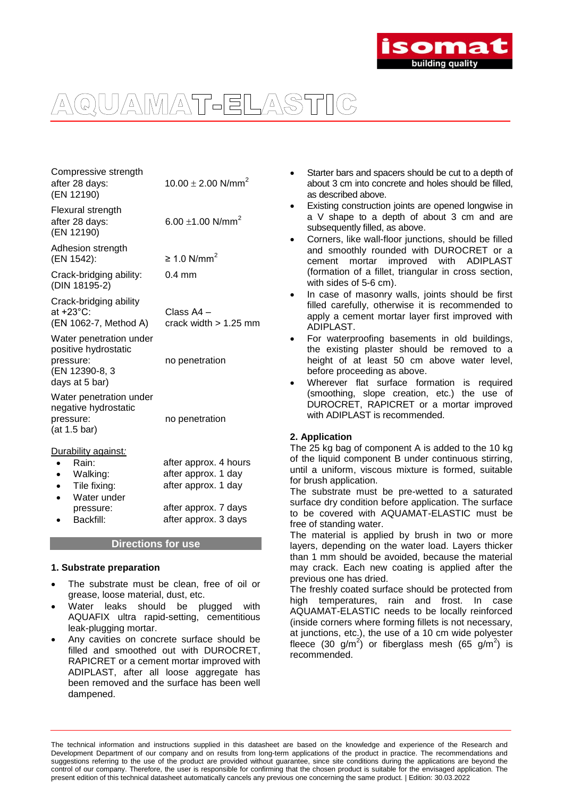

| Compressive strength<br>after 28 days:<br>(EN 12190)                                              | 10.00 $\pm$ 2.00 N/mm <sup>2</sup>                                                                                  |  |
|---------------------------------------------------------------------------------------------------|---------------------------------------------------------------------------------------------------------------------|--|
| Flexural strength<br>after 28 days:<br>(EN 12190)                                                 | 6.00 $\pm$ 1.00 N/mm <sup>2</sup>                                                                                   |  |
| Adhesion strength<br>(EN 1542):                                                                   | $\geq 1.0$ N/mm <sup>2</sup>                                                                                        |  |
| Crack-bridging ability:<br>(DIN 18195-2)                                                          | $0.4$ mm                                                                                                            |  |
| Crack-bridging ability<br>at +23°C:<br>(EN 1062-7, Method A)                                      | Class A4 -<br>crack width $> 1.25$ mm                                                                               |  |
| Water penetration under<br>positive hydrostatic<br>pressure:<br>(EN 12390-8, 3<br>days at 5 bar)  | no penetration                                                                                                      |  |
| Water penetration under<br>negative hydrostatic<br>pressure:<br>(at 1.5 bar)                      | no penetration                                                                                                      |  |
| Durability against:<br>Rain:<br>Walking:<br>Tile fixing:<br>Water under<br>pressure:<br>Backfill: | after approx. 4 hours<br>after approx. 1 day<br>after approx. 1 day<br>after approx. 7 days<br>after approx. 3 days |  |

#### **Directions for use**

#### **1. Substrate preparation**

- The substrate must be clean, free of oil or grease, loose material, dust, etc.
- Water leaks should be plugged with AQUAFIX ultra rapid-setting, cementitious leak-plugging mortar.
- Any cavities on concrete surface should be filled and smoothed out with DUROCRET, RAPICRET or a cement mortar improved with ADIPLAST, after all loose aggregate has been removed and the surface has been well dampened.
- Starter bars and spacers should be cut to a depth of about 3 cm into concrete and holes should be filled, as described above.
- Existing construction joints are opened longwise in a V shape to a depth of about 3 cm and are subsequently filled, as above.
- Corners, like wall-floor junctions, should be filled and smoothly rounded with DUROCRET or a cement mortar improved with ADIPLAST (formation of a fillet, triangular in cross section, with sides of 5-6 cm).
- In case of masonry walls, joints should be first filled carefully, otherwise it is recommended to apply a cement mortar layer first improved with ADIPLAST.
- For waterproofing basements in old buildings, the existing plaster should be removed to a height of at least 50 cm above water level. before proceeding as above.
- Wherever flat surface formation is required (smoothing, slope creation, etc.) the use of DUROCRET, RAPICRET or a mortar improved with ADIPLAST is recommended.

#### **2. Application**

The 25 kg bag of component A is added to the 10 kg of the liquid component B under continuous stirring, until a uniform, viscous mixture is formed, suitable for brush application.

The substrate must be pre-wetted to a saturated surface dry condition before application. The surface to be covered with AQUAMAT-ELASTIC must be free of standing water.

The material is applied by brush in two or more layers, depending on the water load. Layers thicker than 1 mm should be avoided, because the material may crack. Each new coating is applied after the previous one has dried.

The freshly coated surface should be protected from high temperatures, rain and frost. In case AQUAMAT-ELASTIC needs to be locally reinforced (inside corners where forming fillets is not necessary, at junctions, etc.), the use of a 10 cm wide polyester fleece (30 g/m<sup>2</sup>) or fiberglass mesh (65 g/m<sup>2</sup>) is recommended.

The technical information and instructions supplied in this datasheet are based on the knowledge and experience of the Research and Development Department of our company and on results from long-term applications of the product in practice. The recommendations and suggestions referring to the use of the product are provided without guarantee, since site conditions during the applications are beyond the control of our company. Therefore, the user is responsible for confirming that the chosen product is suitable for the envisaged application. The present edition of this technical datasheet automatically cancels any previous one concerning the same product. | Edition: 30.03.2022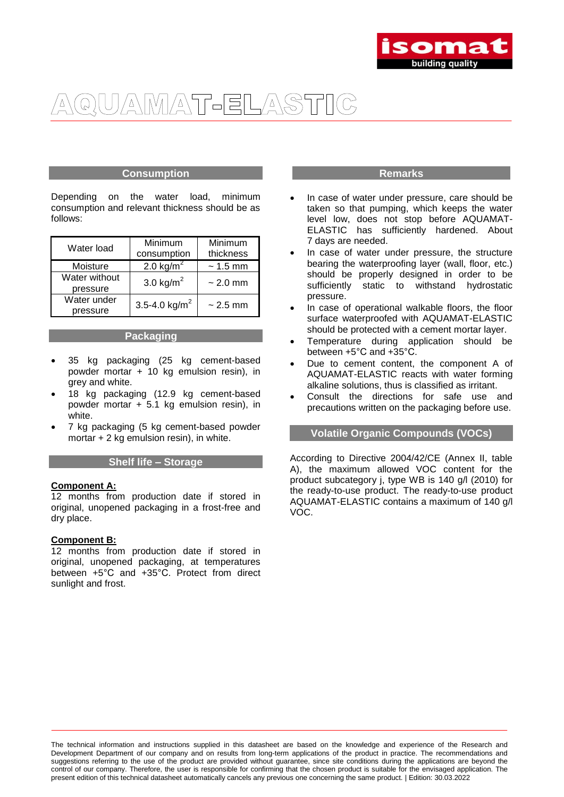

#### **Consumption**

Depending on the water load, minimum consumption and relevant thickness should be as follows:

| Water load    | Minimum<br>consumption    | Minimum<br>thickness |
|---------------|---------------------------|----------------------|
| Moisture      | 2.0 kg/m <sup>2</sup>     | $~1.5 \text{ mm}$    |
| Water without | 3.0 kg/ $m^2$             | $\sim$ 2.0 mm        |
| pressure      |                           |                      |
| Water under   | 3.5-4.0 kg/m <sup>2</sup> | $\sim$ 2.5 mm        |
| pressure      |                           |                      |

#### **Packaging**

- 35 kg packaging (25 kg cement-based powder mortar + 10 kg emulsion resin), in grey and white.
- 18 kg packaging (12.9 kg cement-based powder mortar + 5.1 kg emulsion resin), in white.
- 7 kg packaging (5 kg cement-based powder mortar + 2 kg emulsion resin), in white.

#### **Shelf life – Storage**

#### **Component A:**

12 months from production date if stored in original, unopened packaging in a frost-free and dry place.

#### **Component B:**

12 months from production date if stored in original, unopened packaging, at temperatures between +5°C and +35°C. Protect from direct sunlight and frost.

#### **Remarks**

- In case of water under pressure, care should be taken so that pumping, which keeps the water level low, does not stop before AQUAMAT-ELASTIC has sufficiently hardened. About 7 days are needed.
- In case of water under pressure, the structure bearing the waterproofing layer (wall, floor, etc.) should be properly designed in order to be sufficiently static to withstand hydrostatic pressure.
- In case of operational walkable floors, the floor surface waterproofed with AQUAMAT-ELASTIC should be protected with a cement mortar layer.
- Temperature during application should be between +5°C and +35°C.
- Due to cement content, the component A of AQUAMAT-ELASTIC reacts with water forming alkaline solutions, thus is classified as irritant.
- Consult the directions for safe use and precautions written on the packaging before use.

#### **Volatile Organic Compounds (VOCs)**

According to Directive 2004/42/CE (Annex II, table A), the maximum allowed VOC content for the product subcategory j, type WB is 140 g/l (2010) for the ready-to-use product. The ready-to-use product AQUAMAT-ELASTIC contains a maximum of 140 g/l VOC.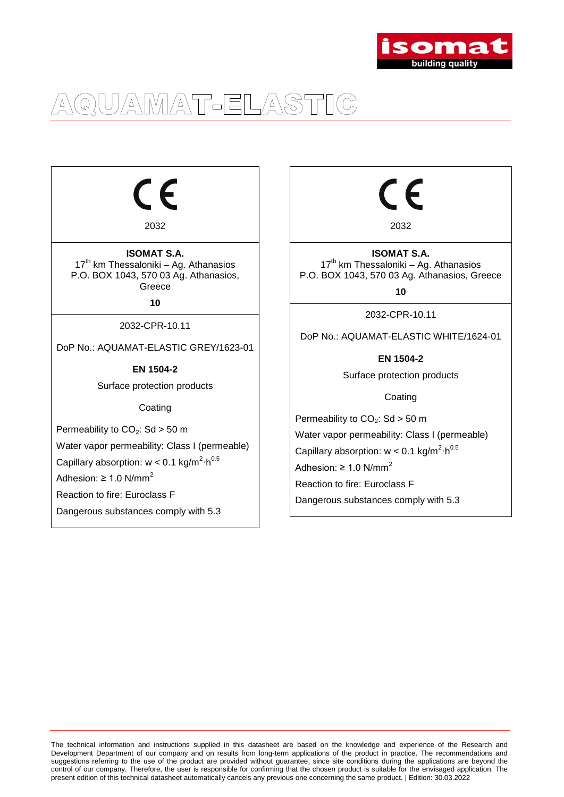

 $\epsilon$ 

2032

**ISOMAT S.A.**  $17<sup>th</sup>$  km Thessaloniki – Ag. Athanasios P.O. BOX 1043, 570 03 Ag. Athanasios, Greece

**10**

2032-CPR-10.11

DoP No.: AQUAMAT-ELASTIC GREY/1623-01

**EN 1504-2**

Surface protection products

**Coating** 

Permeability to  $CO<sub>2</sub>$ : Sd > 50 m

Water vapor permeability: Class I (permeable)

Capillary absorption:  $w < 0.1$  kg/m<sup>2</sup>·h<sup>0.5</sup>

Adhesion:  $\geq 1.0$  N/mm<sup>2</sup>

Reaction to fire: Euroclass F

Dangerous substances comply with 5.3

∈

2032

**ISOMAT S.A.**  $17<sup>th</sup>$  km Thessaloniki – Ag. Athanasios P.O. BOX 1043, 570 03 Ag. Athanasios, Greece

**10**

2032-CPR-10.11

DoP No.: AQUAMAT-ELASTIC WHITE/1624-01

**EN 1504-2**

Surface protection products

Coating

Permeability to  $CO<sub>2</sub>$ : Sd > 50 m Water vapor permeability: Class I (permeable) Capillary absorption:  $w < 0.1$  kg/m<sup>2</sup>·h<sup>0.5</sup> Adhesion:  $\geq 1.0$  N/mm<sup>2</sup> Reaction to fire: Euroclass F Dangerous substances comply with 5.3